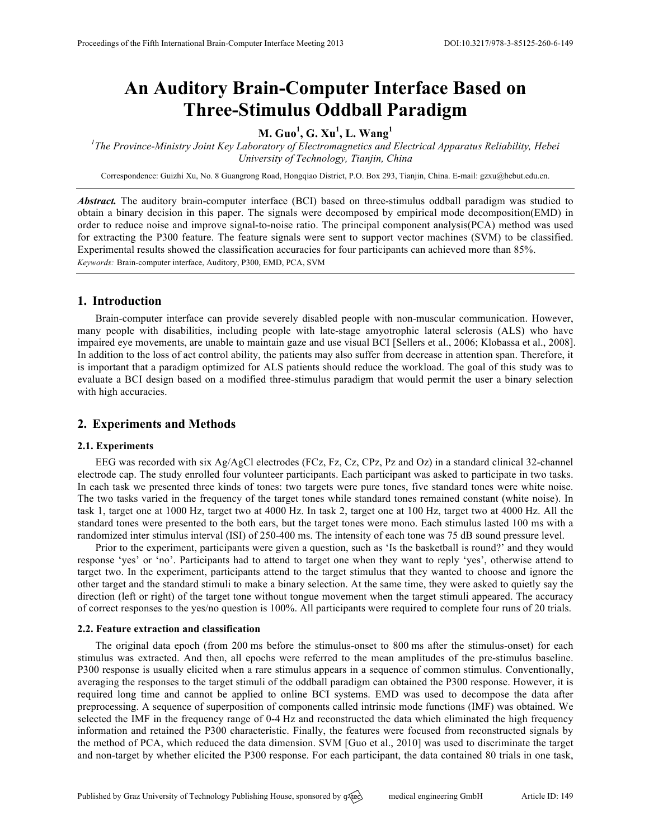# **An Auditory Brain-Computer Interface Based on Three-Stimulus Oddball Paradigm**

# **M. Guo<sup>1</sup> , G. Xu<sup>1</sup> , L. Wang<sup>1</sup>**

*1 The Province-Ministry Joint Key Laboratory of Electromagnetics and Electrical Apparatus Reliability, Hebei University of Technology, Tianjin, China*

Correspondence: Guizhi Xu, No. 8 Guangrong Road, Hongqiao District, P.O. Box 293, Tianjin, China. E-mail: gzxu@hebut.edu.cn.

*Abstract.* The auditory brain-computer interface (BCI) based on three-stimulus oddball paradigm was studied to obtain a binary decision in this paper. The signals were decomposed by empirical mode decomposition(EMD) in order to reduce noise and improve signal-to-noise ratio. The principal component analysis(PCA) method was used for extracting the P300 feature. The feature signals were sent to support vector machines (SVM) to be classified. Experimental results showed the classification accuracies for four participants can achieved more than 85%. *Keywords:* Brain-computer interface, Auditory, P300, EMD, PCA, SVM

### **1. Introduction**

Brain-computer interface can provide severely disabled people with non-muscular communication. However, many people with disabilities, including people with late-stage amyotrophic lateral sclerosis (ALS) who have impaired eye movements, are unable to maintain gaze and use visual BCI [Sellers et al., 2006; Klobassa et al., 2008]. In addition to the loss of act control ability, the patients may also suffer from decrease in attention span. Therefore, it is important that a paradigm optimized for ALS patients should reduce the workload. The goal of this study was to evaluate a BCI design based on a modified three-stimulus paradigm that would permit the user a binary selection with high accuracies.

## **2. Experiments and Methods**

#### **2.1. Experiments**

EEG was recorded with six Ag/AgCl electrodes (FCz, Fz, Cz, CPz, Pz and Oz) in a standard clinical 32-channel electrode cap. The study enrolled four volunteer participants. Each participant was asked to participate in two tasks. In each task we presented three kinds of tones: two targets were pure tones, five standard tones were white noise. The two tasks varied in the frequency of the target tones while standard tones remained constant (white noise). In task 1, target one at 1000 Hz, target two at 4000 Hz. In task 2, target one at 100 Hz, target two at 4000 Hz. All the standard tones were presented to the both ears, but the target tones were mono. Each stimulus lasted 100 ms with a randomized inter stimulus interval (ISI) of 250-400 ms. The intensity of each tone was 75 dB sound pressure level.

Prior to the experiment, participants were given a question, such as 'Is the basketball is round?' and they would response 'yes' or 'no'. Participants had to attend to target one when they want to reply 'yes', otherwise attend to target two. In the experiment, participants attend to the target stimulus that they wanted to choose and ignore the other target and the standard stimuli to make a binary selection. At the same time, they were asked to quietly say the direction (left or right) of the target tone without tongue movement when the target stimuli appeared. The accuracy of correct responses to the yes/no question is 100%. All participants were required to complete four runs of 20 trials.

#### **2.2. Feature extraction and classification**

The original data epoch (from 200 ms before the stimulus-onset to 800 ms after the stimulus-onset) for each stimulus was extracted. And then, all epochs were referred to the mean amplitudes of the pre-stimulus baseline. P300 response is usually elicited when a rare stimulus appears in a sequence of common stimulus. Conventionally, averaging the responses to the target stimuli of the oddball paradigm can obtained the P300 response. However, it is required long time and cannot be applied to online BCI systems. EMD was used to decompose the data after preprocessing. A sequence of superposition of components called intrinsic mode functions (IMF) was obtained. We selected the IMF in the frequency range of 0-4 Hz and reconstructed the data which eliminated the high frequency information and retained the P300 characteristic. Finally, the features were focused from reconstructed signals by the method of PCA, which reduced the data dimension. SVM [Guo et al., 2010] was used to discriminate the target and non-target by whether elicited the P300 response. For each participant, the data contained 80 trials in one task,